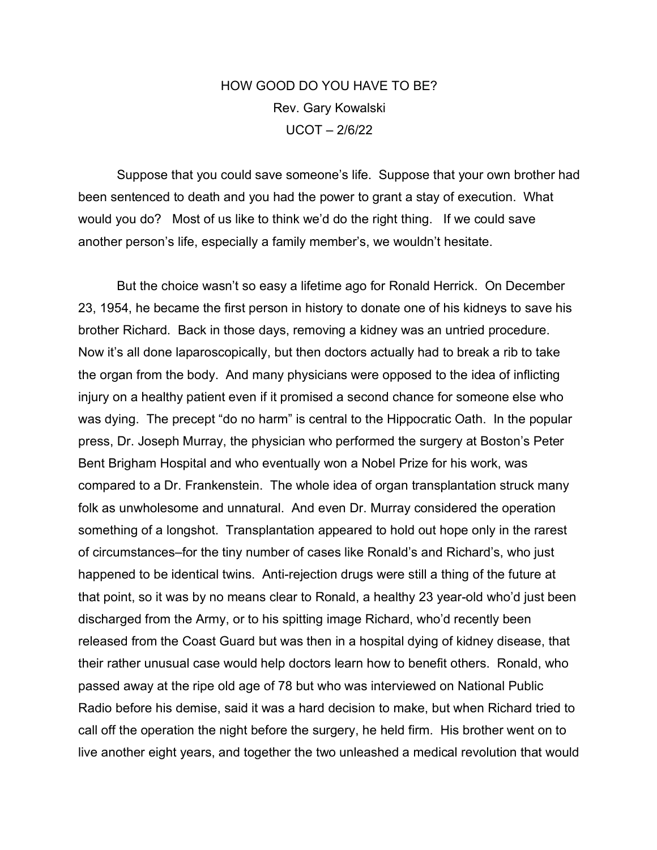## HOW GOOD DO YOU HAVE TO BE? Rev. Gary Kowalski UCOT – 2/6/22

Suppose that you could save someone's life. Suppose that your own brother had been sentenced to death and you had the power to grant a stay of execution. What would you do? Most of us like to think we'd do the right thing. If we could save another person's life, especially a family member's, we wouldn't hesitate.

But the choice wasn't so easy a lifetime ago for Ronald Herrick. On December 23, 1954, he became the first person in history to donate one of his kidneys to save his brother Richard. Back in those days, removing a kidney was an untried procedure. Now it's all done laparoscopically, but then doctors actually had to break a rib to take the organ from the body. And many physicians were opposed to the idea of inflicting injury on a healthy patient even if it promised a second chance for someone else who was dying. The precept "do no harm" is central to the Hippocratic Oath. In the popular press, Dr. Joseph Murray, the physician who performed the surgery at Boston's Peter Bent Brigham Hospital and who eventually won a Nobel Prize for his work, was compared to a Dr. Frankenstein. The whole idea of organ transplantation struck many folk as unwholesome and unnatural. And even Dr. Murray considered the operation something of a longshot. Transplantation appeared to hold out hope only in the rarest of circumstances–for the tiny number of cases like Ronald's and Richard's, who just happened to be identical twins. Anti-rejection drugs were still a thing of the future at that point, so it was by no means clear to Ronald, a healthy 23 year-old who'd just been discharged from the Army, or to his spitting image Richard, who'd recently been released from the Coast Guard but was then in a hospital dying of kidney disease, that their rather unusual case would help doctors learn how to benefit others. Ronald, who passed away at the ripe old age of 78 but who was interviewed on National Public Radio before his demise, said it was a hard decision to make, but when Richard tried to call off the operation the night before the surgery, he held firm. His brother went on to live another eight years, and together the two unleashed a medical revolution that would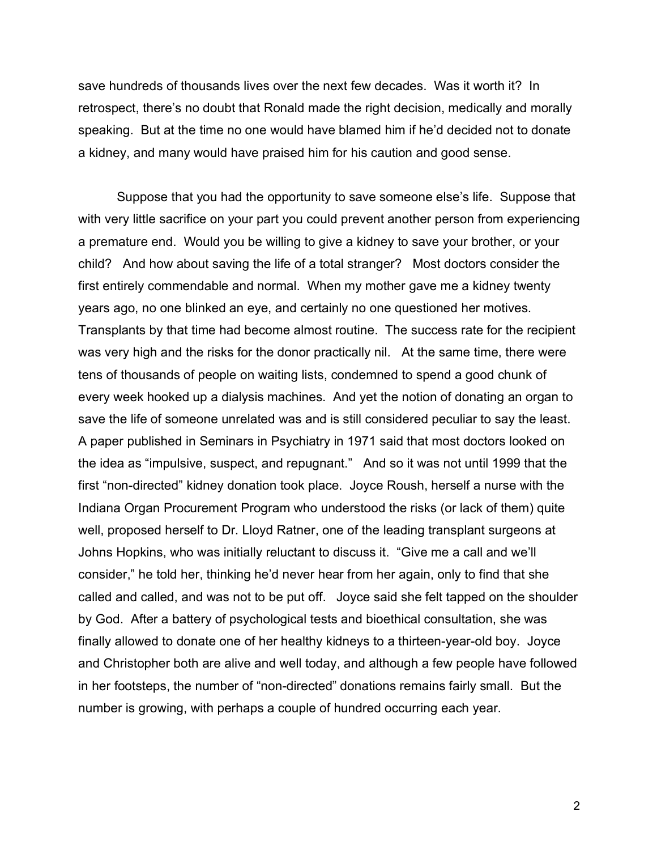save hundreds of thousands lives over the next few decades. Was it worth it? In retrospect, there's no doubt that Ronald made the right decision, medically and morally speaking. But at the time no one would have blamed him if he'd decided not to donate a kidney, and many would have praised him for his caution and good sense.

Suppose that you had the opportunity to save someone else's life. Suppose that with very little sacrifice on your part you could prevent another person from experiencing a premature end. Would you be willing to give a kidney to save your brother, or your child? And how about saving the life of a total stranger? Most doctors consider the first entirely commendable and normal. When my mother gave me a kidney twenty years ago, no one blinked an eye, and certainly no one questioned her motives. Transplants by that time had become almost routine. The success rate for the recipient was very high and the risks for the donor practically nil. At the same time, there were tens of thousands of people on waiting lists, condemned to spend a good chunk of every week hooked up a dialysis machines. And yet the notion of donating an organ to save the life of someone unrelated was and is still considered peculiar to say the least. A paper published in Seminars in Psychiatry in 1971 said that most doctors looked on the idea as "impulsive, suspect, and repugnant." And so it was not until 1999 that the first "non-directed" kidney donation took place. Joyce Roush, herself a nurse with the Indiana Organ Procurement Program who understood the risks (or lack of them) quite well, proposed herself to Dr. Lloyd Ratner, one of the leading transplant surgeons at Johns Hopkins, who was initially reluctant to discuss it. "Give me a call and we'll consider," he told her, thinking he'd never hear from her again, only to find that she called and called, and was not to be put off. Joyce said she felt tapped on the shoulder by God. After a battery of psychological tests and bioethical consultation, she was finally allowed to donate one of her healthy kidneys to a thirteen-year-old boy. Joyce and Christopher both are alive and well today, and although a few people have followed in her footsteps, the number of "non-directed" donations remains fairly small. But the number is growing, with perhaps a couple of hundred occurring each year.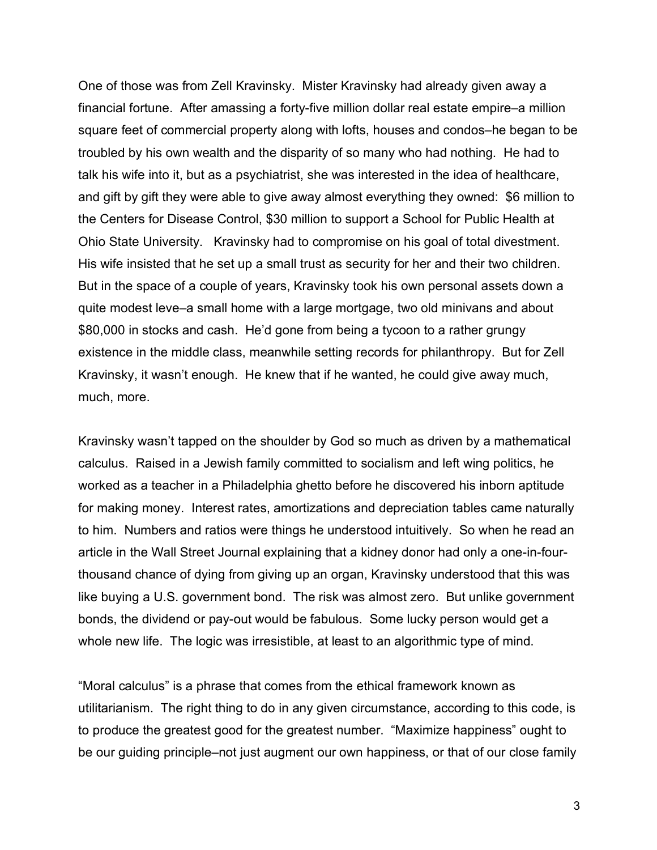One of those was from Zell Kravinsky. Mister Kravinsky had already given away a financial fortune. After amassing a forty-five million dollar real estate empire–a million square feet of commercial property along with lofts, houses and condos–he began to be troubled by his own wealth and the disparity of so many who had nothing. He had to talk his wife into it, but as a psychiatrist, she was interested in the idea of healthcare, and gift by gift they were able to give away almost everything they owned: \$6 million to the Centers for Disease Control, \$30 million to support a School for Public Health at Ohio State University. Kravinsky had to compromise on his goal of total divestment. His wife insisted that he set up a small trust as security for her and their two children. But in the space of a couple of years, Kravinsky took his own personal assets down a quite modest leve–a small home with a large mortgage, two old minivans and about \$80,000 in stocks and cash. He'd gone from being a tycoon to a rather grungy existence in the middle class, meanwhile setting records for philanthropy. But for Zell Kravinsky, it wasn't enough. He knew that if he wanted, he could give away much, much, more.

Kravinsky wasn't tapped on the shoulder by God so much as driven by a mathematical calculus. Raised in a Jewish family committed to socialism and left wing politics, he worked as a teacher in a Philadelphia ghetto before he discovered his inborn aptitude for making money. Interest rates, amortizations and depreciation tables came naturally to him. Numbers and ratios were things he understood intuitively. So when he read an article in the Wall Street Journal explaining that a kidney donor had only a one-in-fourthousand chance of dying from giving up an organ, Kravinsky understood that this was like buying a U.S. government bond. The risk was almost zero. But unlike government bonds, the dividend or pay-out would be fabulous. Some lucky person would get a whole new life. The logic was irresistible, at least to an algorithmic type of mind.

"Moral calculus" is a phrase that comes from the ethical framework known as utilitarianism. The right thing to do in any given circumstance, according to this code, is to produce the greatest good for the greatest number. "Maximize happiness" ought to be our guiding principle–not just augment our own happiness, or that of our close family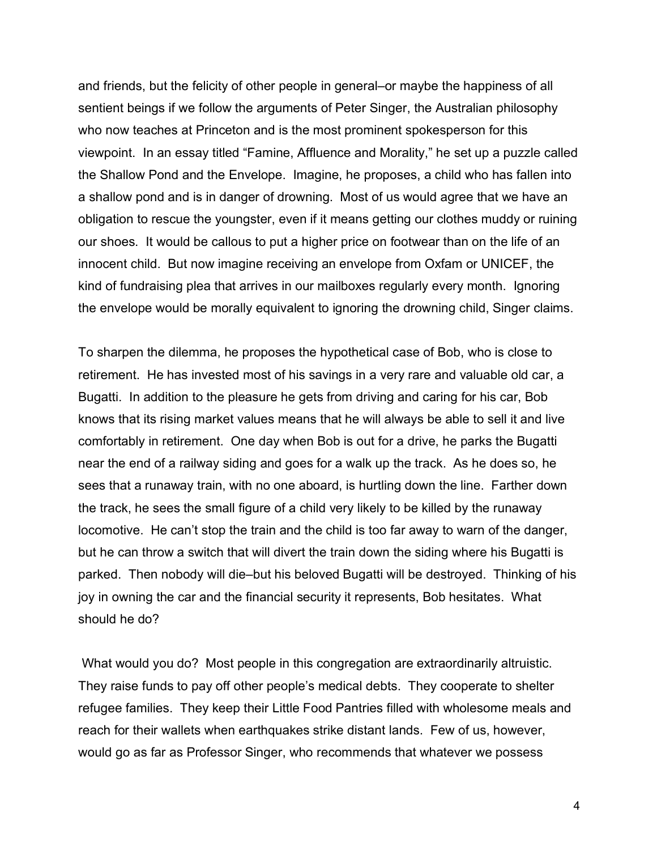and friends, but the felicity of other people in general–or maybe the happiness of all sentient beings if we follow the arguments of Peter Singer, the Australian philosophy who now teaches at Princeton and is the most prominent spokesperson for this viewpoint. In an essay titled "Famine, Affluence and Morality," he set up a puzzle called the Shallow Pond and the Envelope. Imagine, he proposes, a child who has fallen into a shallow pond and is in danger of drowning. Most of us would agree that we have an obligation to rescue the youngster, even if it means getting our clothes muddy or ruining our shoes. It would be callous to put a higher price on footwear than on the life of an innocent child. But now imagine receiving an envelope from Oxfam or UNICEF, the kind of fundraising plea that arrives in our mailboxes regularly every month. Ignoring the envelope would be morally equivalent to ignoring the drowning child, Singer claims.

To sharpen the dilemma, he proposes the hypothetical case of Bob, who is close to retirement. He has invested most of his savings in a very rare and valuable old car, a Bugatti. In addition to the pleasure he gets from driving and caring for his car, Bob knows that its rising market values means that he will always be able to sell it and live comfortably in retirement. One day when Bob is out for a drive, he parks the Bugatti near the end of a railway siding and goes for a walk up the track. As he does so, he sees that a runaway train, with no one aboard, is hurtling down the line. Farther down the track, he sees the small figure of a child very likely to be killed by the runaway locomotive. He can't stop the train and the child is too far away to warn of the danger, but he can throw a switch that will divert the train down the siding where his Bugatti is parked. Then nobody will die–but his beloved Bugatti will be destroyed. Thinking of his joy in owning the car and the financial security it represents, Bob hesitates. What should he do?

What would you do? Most people in this congregation are extraordinarily altruistic. They raise funds to pay off other people's medical debts. They cooperate to shelter refugee families. They keep their Little Food Pantries filled with wholesome meals and reach for their wallets when earthquakes strike distant lands. Few of us, however, would go as far as Professor Singer, who recommends that whatever we possess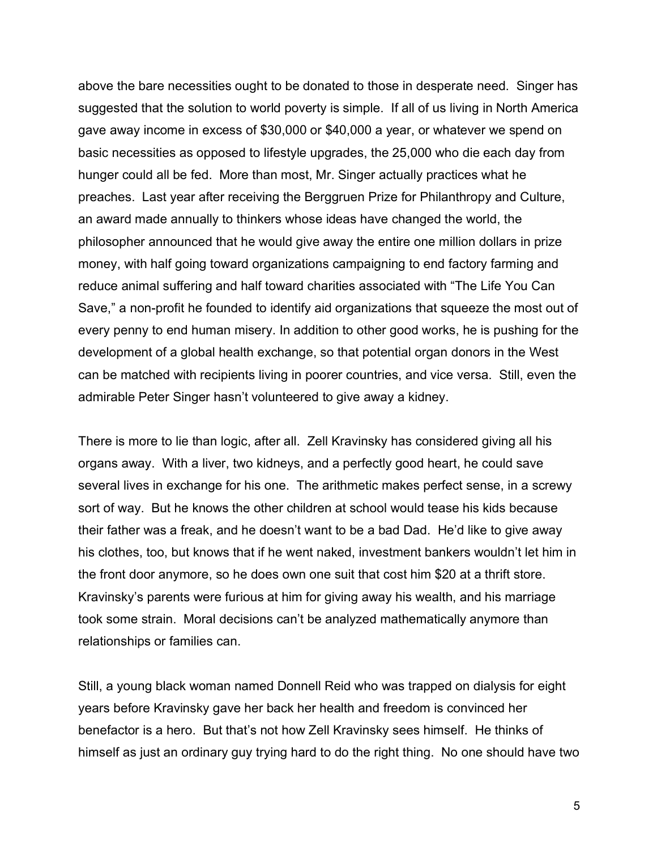above the bare necessities ought to be donated to those in desperate need. Singer has suggested that the solution to world poverty is simple. If all of us living in North America gave away income in excess of \$30,000 or \$40,000 a year, or whatever we spend on basic necessities as opposed to lifestyle upgrades, the 25,000 who die each day from hunger could all be fed. More than most, Mr. Singer actually practices what he preaches. Last year after receiving the Berggruen Prize for Philanthropy and Culture, an award made annually to thinkers whose ideas have changed the world, the philosopher announced that he would give away the entire one million dollars in prize money, with half going toward organizations campaigning to end factory farming and reduce animal suffering and half toward charities associated with "The Life You Can Save," a non-profit he founded to identify aid organizations that squeeze the most out of every penny to end human misery. In addition to other good works, he is pushing for the development of a global health exchange, so that potential organ donors in the West can be matched with recipients living in poorer countries, and vice versa. Still, even the admirable Peter Singer hasn't volunteered to give away a kidney.

There is more to lie than logic, after all. Zell Kravinsky has considered giving all his organs away. With a liver, two kidneys, and a perfectly good heart, he could save several lives in exchange for his one. The arithmetic makes perfect sense, in a screwy sort of way. But he knows the other children at school would tease his kids because their father was a freak, and he doesn't want to be a bad Dad. He'd like to give away his clothes, too, but knows that if he went naked, investment bankers wouldn't let him in the front door anymore, so he does own one suit that cost him \$20 at a thrift store. Kravinsky's parents were furious at him for giving away his wealth, and his marriage took some strain. Moral decisions can't be analyzed mathematically anymore than relationships or families can.

Still, a young black woman named Donnell Reid who was trapped on dialysis for eight years before Kravinsky gave her back her health and freedom is convinced her benefactor is a hero. But that's not how Zell Kravinsky sees himself. He thinks of himself as just an ordinary guy trying hard to do the right thing. No one should have two